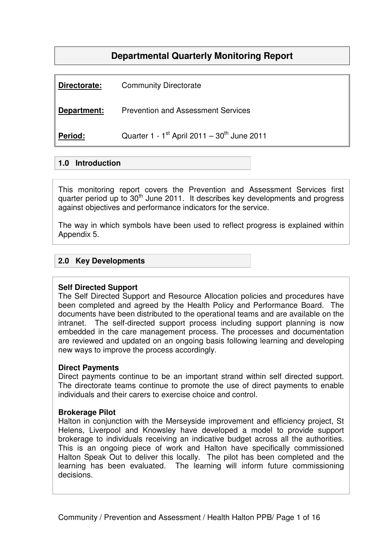# **Departmental Quarterly Monitoring Report**

| Directorate: | <b>Community Directorate</b>                          |
|--------------|-------------------------------------------------------|
| Department:  | <b>Prevention and Assessment Services</b>             |
| Period:      | Quarter 1 - $1^{st}$ April 2011 - $30^{th}$ June 2011 |

## **1.0 Introduction**

This monitoring report covers the Prevention and Assessment Services first quarter period up to 30<sup>th</sup> June 2011. It describes key developments and progress against objectives and performance indicators for the service.

The way in which symbols have been used to reflect progress is explained within Appendix 5.

## **2.0 Key Developments**

### **Self Directed Support**

The Self Directed Support and Resource Allocation policies and procedures have been completed and agreed by the Health Policy and Performance Board. The documents have been distributed to the operational teams and are available on the intranet. The self-directed support process including support planning is now embedded in the care management process. The processes and documentation are reviewed and updated on an ongoing basis following learning and developing new ways to improve the process accordingly.

### **Direct Payments**

Direct payments continue to be an important strand within self directed support. The directorate teams continue to promote the use of direct payments to enable individuals and their carers to exercise choice and control.

#### **Brokerage Pilot**

Halton in conjunction with the Merseyside improvement and efficiency project, St Helens, Liverpool and Knowsley have developed a model to provide support brokerage to individuals receiving an indicative budget across all the authorities. This is an ongoing piece of work and Halton have specifically commissioned Halton Speak Out to deliver this locally. The pilot has been completed and the learning has been evaluated. The learning will inform future commissioning decisions.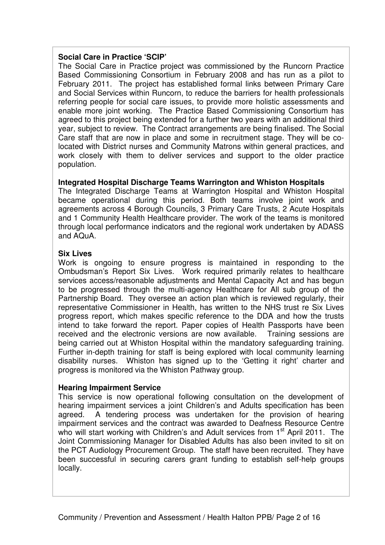## **Social Care in Practice 'SCIP'**

The Social Care in Practice project was commissioned by the Runcorn Practice Based Commissioning Consortium in February 2008 and has run as a pilot to February 2011. The project has established formal links between Primary Care and Social Services within Runcorn, to reduce the barriers for health professionals referring people for social care issues, to provide more holistic assessments and enable more joint working. The Practice Based Commissioning Consortium has agreed to this project being extended for a further two years with an additional third year, subject to review. The Contract arrangements are being finalised. The Social Care staff that are now in place and some in recruitment stage. They will be colocated with District nurses and Community Matrons within general practices, and work closely with them to deliver services and support to the older practice population.

### **Integrated Hospital Discharge Teams Warrington and Whiston Hospitals**

The Integrated Discharge Teams at Warrington Hospital and Whiston Hospital became operational during this period. Both teams involve joint work and agreements across 4 Borough Councils, 3 Primary Care Trusts, 2 Acute Hospitals and 1 Community Health Healthcare provider. The work of the teams is monitored through local performance indicators and the regional work undertaken by ADASS and AQuA.

### **Six Lives**

Work is ongoing to ensure progress is maintained in responding to the Ombudsman's Report Six Lives. Work required primarily relates to healthcare services access/reasonable adjustments and Mental Capacity Act and has begun to be progressed through the multi-agency Healthcare for All sub group of the Partnership Board. They oversee an action plan which is reviewed regularly, their representative Commissioner in Health, has written to the NHS trust re Six Lives progress report, which makes specific reference to the DDA and how the trusts intend to take forward the report. Paper copies of Health Passports have been received and the electronic versions are now available. Training sessions are being carried out at Whiston Hospital within the mandatory safeguarding training. Further in-depth training for staff is being explored with local community learning disability nurses. Whiston has signed up to the 'Getting it right' charter and progress is monitored via the Whiston Pathway group.

### **Hearing Impairment Service**

This service is now operational following consultation on the development of hearing impairment services a joint Children's and Adults specification has been agreed. A tendering process was undertaken for the provision of hearing impairment services and the contract was awarded to Deafness Resource Centre who will start working with Children's and Adult services from 1<sup>st</sup> April 2011. The Joint Commissioning Manager for Disabled Adults has also been invited to sit on the PCT Audiology Procurement Group. The staff have been recruited. They have been successful in securing carers grant funding to establish self-help groups locally.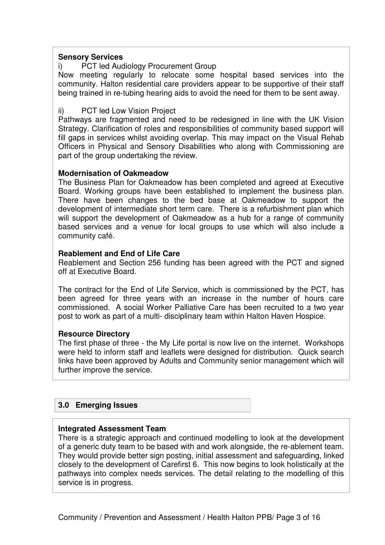#### **Sensory Services**

### i) PCT led Audiology Procurement Group

Now meeting regularly to relocate some hospital based services into the community. Halton residential care providers appear to be supportive of their staff being trained in re-tubing hearing aids to avoid the need for them to be sent away.

#### ii) PCT led Low Vision Project

Pathways are fragmented and need to be redesigned in line with the UK Vision Strategy. Clarification of roles and responsibilities of community based support will fill gaps in services whilst avoiding overlap. This may impact on the Visual Rehab Officers in Physical and Sensory Disabilities who along with Commissioning are part of the group undertaking the review.

#### **Modernisation of Oakmeadow**

The Business Plan for Oakmeadow has been completed and agreed at Executive Board. Working groups have been established to implement the business plan. There have been changes to the bed base at Oakmeadow to support the development of intermediate short term care. There is a refurbishment plan which will support the development of Oakmeadow as a hub for a range of community based services and a venue for local groups to use which will also include a community café.

#### **Reablement and End of Life Care**

Reablement and Section 256 funding has been agreed with the PCT and signed off at Executive Board.

The contract for the End of Life Service, which is commissioned by the PCT, has been agreed for three years with an increase in the number of hours care commissioned. A social Worker Palliative Care has been recruited to a two year post to work as part of a multi- disciplinary team within Halton Haven Hospice.

#### **Resource Directory**

The first phase of three - the My Life portal is now live on the internet. Workshops were held to inform staff and leaflets were designed for distribution. Quick search links have been approved by Adults and Community senior management which will further improve the service.

#### **3.0 Emerging Issues**

#### **Integrated Assessment Team**

There is a strategic approach and continued modelling to look at the development of a generic duty team to be based with and work alongside, the re-ablement team. They would provide better sign posting, initial assessment and safeguarding, linked closely to the development of Carefirst 6. This now begins to look holistically at the pathways into complex needs services. The detail relating to the modelling of this service is in progress.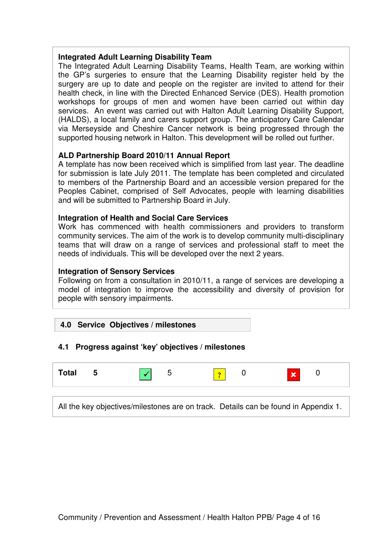## **Integrated Adult Learning Disability Team**

The Integrated Adult Learning Disability Teams, Health Team, are working within the GP's surgeries to ensure that the Learning Disability register held by the surgery are up to date and people on the register are invited to attend for their health check, in line with the Directed Enhanced Service (DES). Health promotion workshops for groups of men and women have been carried out within day services. An event was carried out with Halton Adult Learning Disability Support, (HALDS), a local family and carers support group. The anticipatory Care Calendar via Merseyside and Cheshire Cancer network is being progressed through the supported housing network in Halton. This development will be rolled out further.

### **ALD Partnership Board 2010/11 Annual Report**

A template has now been received which is simplified from last year. The deadline for submission is late July 2011. The template has been completed and circulated to members of the Partnership Board and an accessible version prepared for the Peoples Cabinet, comprised of Self Advocates, people with learning disabilities and will be submitted to Partnership Board in July.

### **Integration of Health and Social Care Services**

Work has commenced with health commissioners and providers to transform community services. The aim of the work is to develop community multi-disciplinary teams that will draw on a range of services and professional staff to meet the needs of individuals. This will be developed over the next 2 years.

#### **Integration of Sensory Services**

Following on from a consultation in 2010/11, a range of services are developing a model of integration to improve the accessibility and diversity of provision for people with sensory impairments.

### **4.0 Service Objectives / milestones**

### **4.1 Progress against 'key' objectives / milestones**

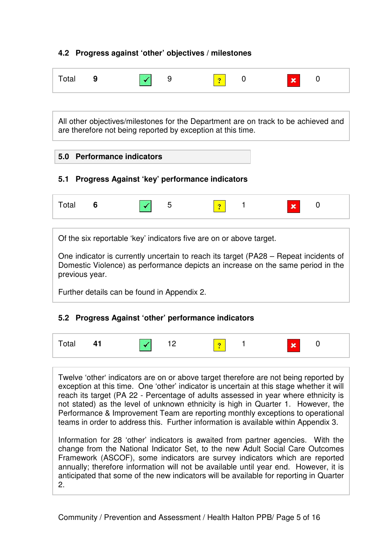# **4.2 Progress against 'other' objectives / milestones**

| Total 9 | $\sqrt{9}$ | $\sqrt{2}$ 0 | $\mathbf{x}$ | $\bigcap$ |
|---------|------------|--------------|--------------|-----------|
|         |            |              |              |           |

All other objectives/milestones for the Department are on track to be achieved and are therefore not being reported by exception at this time.

### **5.0 Performance indicators**

### **5.1 Progress Against 'key' performance indicators**



Of the six reportable 'key' indicators five are on or above target.

One indicator is currently uncertain to reach its target (PA28 – Repeat incidents of Domestic Violence) as performance depicts an increase on the same period in the previous year.

Further details can be found in Appendix 2.

### **5.2 Progress Against 'other' performance indicators**

| - 1 -<br>ια.<br>$ -$<br><u>- –</u> |  |
|------------------------------------|--|
|------------------------------------|--|

Twelve 'other' indicators are on or above target therefore are not being reported by exception at this time. One 'other' indicator is uncertain at this stage whether it will reach its target (PA 22 - Percentage of adults assessed in year where ethnicity is not stated) as the level of unknown ethnicity is high in Quarter 1. However, the Performance & Improvement Team are reporting monthly exceptions to operational teams in order to address this. Further information is available within Appendix 3.

Information for 28 'other' indicators is awaited from partner agencies. With the change from the National Indicator Set, to the new Adult Social Care Outcomes Framework (ASCOF), some indicators are survey indicators which are reported annually; therefore information will not be available until year end. However, it is anticipated that some of the new indicators will be available for reporting in Quarter 2.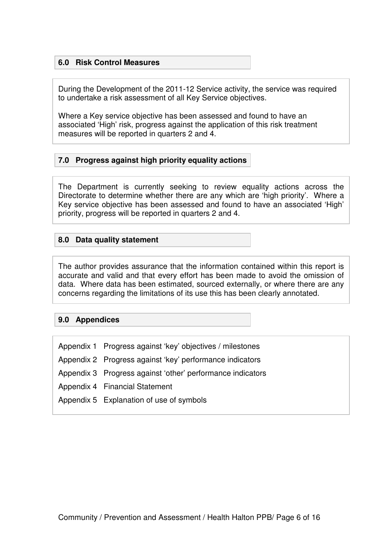## **6.0 Risk Control Measures**

During the Development of the 2011-12 Service activity, the service was required to undertake a risk assessment of all Key Service objectives.

Where a Key service objective has been assessed and found to have an associated 'High' risk, progress against the application of this risk treatment measures will be reported in quarters 2 and 4.

### **7.0 Progress against high priority equality actions**

The Department is currently seeking to review equality actions across the Directorate to determine whether there are any which are 'high priority'. Where a Key service objective has been assessed and found to have an associated 'High' priority, progress will be reported in quarters 2 and 4.

### **8.0 Data quality statement**

The author provides assurance that the information contained within this report is accurate and valid and that every effort has been made to avoid the omission of data. Where data has been estimated, sourced externally, or where there are any concerns regarding the limitations of its use this has been clearly annotated.

### **9.0 Appendices**

Appendix 1 Progress against 'key' objectives / milestones Appendix 2 Progress against 'key' performance indicators Appendix 3 Progress against 'other' performance indicators Appendix 4 Financial Statement Appendix 5 Explanation of use of symbols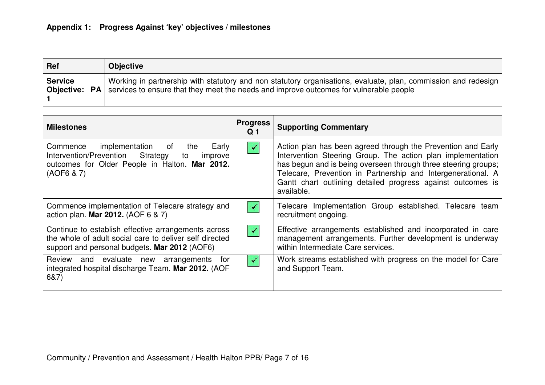| <b>Ref</b>     | <b>Objective</b>                                                                                                                                                                                                                |
|----------------|---------------------------------------------------------------------------------------------------------------------------------------------------------------------------------------------------------------------------------|
| <b>Service</b> | Working in partnership with statutory and non statutory organisations, evaluate, plan, commission and redesign<br><b>Objective:</b> $PA$ services to ensure that they meet the needs and improve outcomes for vulnerable people |

| <b>Milestones</b>                                                                                                                                                  | <b>Progress</b><br>Q 1 | <b>Supporting Commentary</b>                                                                                                                                                                                                                                                                                                               |
|--------------------------------------------------------------------------------------------------------------------------------------------------------------------|------------------------|--------------------------------------------------------------------------------------------------------------------------------------------------------------------------------------------------------------------------------------------------------------------------------------------------------------------------------------------|
| implementation of<br>Commence<br>Early<br>the<br>Intervention/Prevention Strategy<br>improve<br>to<br>outcomes for Older People in Halton. Mar 2012.<br>(AOF6 & 7) | $\blacktriangledown$   | Action plan has been agreed through the Prevention and Early<br>Intervention Steering Group. The action plan implementation<br>has begun and is being overseen through three steering groups;<br>Telecare, Prevention in Partnership and Intergenerational. A<br>Gantt chart outlining detailed progress against outcomes is<br>available. |
| Commence implementation of Telecare strategy and<br>action plan. Mar 2012. (AOF 6 & 7)                                                                             | $\checkmark$           | Telecare Implementation Group established. Telecare team<br>recruitment ongoing.                                                                                                                                                                                                                                                           |
| Continue to establish effective arrangements across<br>the whole of adult social care to deliver self directed<br>support and personal budgets. Mar 2012 (AOF6)    | $\blacktriangledown$   | Effective arrangements established and incorporated in care<br>management arrangements. Further development is underway<br>within Intermediate Care services.                                                                                                                                                                              |
| Review and evaluate new<br>arrangements for<br>integrated hospital discharge Team. Mar 2012. (AOF<br>6&7)                                                          | ✔                      | Work streams established with progress on the model for Care<br>and Support Team.                                                                                                                                                                                                                                                          |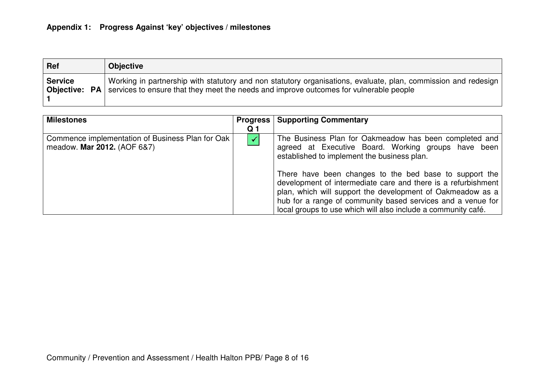| <b>Ref</b>     | <b>Objective</b>                                                                                                                                                                                                                |
|----------------|---------------------------------------------------------------------------------------------------------------------------------------------------------------------------------------------------------------------------------|
| <b>Service</b> | Working in partnership with statutory and non statutory organisations, evaluate, plan, commission and redesign<br><b>Objective:</b> $PA$ services to ensure that they meet the needs and improve outcomes for vulnerable people |

| <b>Milestones</b>                                                               | <b>Progress</b> | <b>Supporting Commentary</b>                                                                                                                                                                                                                                                                                                                                                                                                                                                          |
|---------------------------------------------------------------------------------|-----------------|---------------------------------------------------------------------------------------------------------------------------------------------------------------------------------------------------------------------------------------------------------------------------------------------------------------------------------------------------------------------------------------------------------------------------------------------------------------------------------------|
|                                                                                 | Q 1             |                                                                                                                                                                                                                                                                                                                                                                                                                                                                                       |
| Commence implementation of Business Plan for Oak<br>meadow. Mar 2012. (AOF 6&7) |                 | The Business Plan for Oakmeadow has been completed and<br>agreed at Executive Board. Working groups have been<br>established to implement the business plan.<br>There have been changes to the bed base to support the<br>development of intermediate care and there is a refurbishment<br>plan, which will support the development of Oakmeadow as a<br>hub for a range of community based services and a venue for<br>local groups to use which will also include a community café. |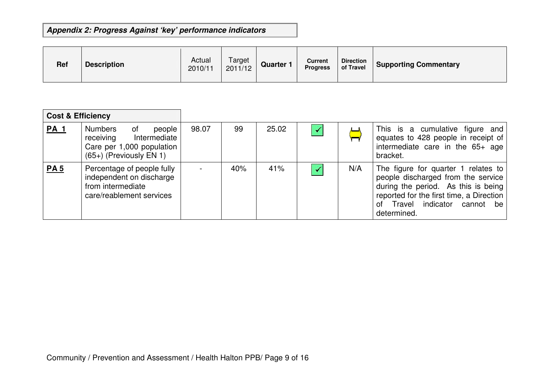# **Appendix 2: Progress Against 'key' performance indicators**

| <b>Ref</b> | <b>Description</b> | Actual<br>2010/11 | Target<br>2011/12 | <b>Quarter 1</b> | <b>Current</b><br><b>Progress</b> | <b>Direction</b><br>of Travel | <b>Supporting Commentary</b> |
|------------|--------------------|-------------------|-------------------|------------------|-----------------------------------|-------------------------------|------------------------------|
|------------|--------------------|-------------------|-------------------|------------------|-----------------------------------|-------------------------------|------------------------------|

| <b>Cost &amp; Efficiency</b> |                                                                                                                       |       |     |       |     |                                                                                                                                                                                                                 |
|------------------------------|-----------------------------------------------------------------------------------------------------------------------|-------|-----|-------|-----|-----------------------------------------------------------------------------------------------------------------------------------------------------------------------------------------------------------------|
| <b>PA 1</b>                  | <b>Numbers</b><br>people<br>0f<br>receiving<br>Intermediate<br>Care per 1,000 population<br>$(65+)$ (Previously EN 1) | 98.07 | 99  | 25.02 |     | This is a cumulative figure and<br>equates to 428 people in receipt of<br>intermediate care in the 65+ age<br>bracket.                                                                                          |
| <b>PA5</b>                   | Percentage of people fully<br>independent on discharge<br>from intermediate<br>care/reablement services               |       | 40% | 41%   | N/A | The figure for quarter 1 relates to<br>people discharged from the service<br>during the period. As this is being<br>reported for the first time, a Direction<br>Travel indicator cannot be<br>of<br>determined. |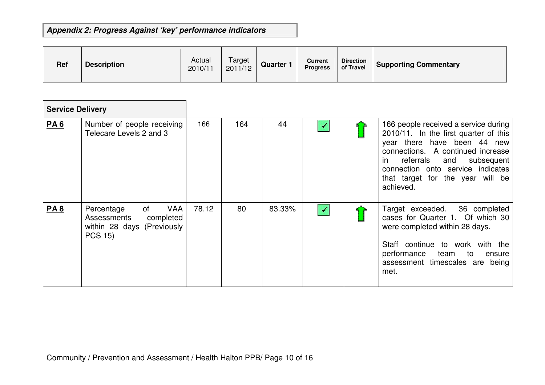# **Appendix 2: Progress Against 'key' performance indicators**

| <b>Ref</b> | <b>Description</b> | Actual<br>2010/11 | Target<br>2011/12 | <b>Quarter 1</b> | Current<br><b>Progress</b> | <b>Direction</b><br>of Travel | <b>Supporting Commentary</b> |
|------------|--------------------|-------------------|-------------------|------------------|----------------------------|-------------------------------|------------------------------|
|------------|--------------------|-------------------|-------------------|------------------|----------------------------|-------------------------------|------------------------------|

| <b>Service Delivery</b> |                                                                                                            |       |     |        |                      |                                                                                                                                                                                                                                                                                  |
|-------------------------|------------------------------------------------------------------------------------------------------------|-------|-----|--------|----------------------|----------------------------------------------------------------------------------------------------------------------------------------------------------------------------------------------------------------------------------------------------------------------------------|
| <b>PA6</b>              | Number of people receiving<br>Telecare Levels 2 and 3                                                      | 166   | 164 | 44     | $\blacktriangledown$ | 166 people received a service during<br>2010/11. In the first quarter of this<br>year there have been 44 new<br>connections. A continued increase<br>referrals<br>and<br>subsequent<br>in.<br>connection onto service indicates<br>that target for the year will be<br>achieved. |
| <b>PA8</b>              | <b>VAA</b><br>of<br>Percentage<br>Assessments<br>completed<br>within 28 days (Previously<br><b>PCS 15)</b> | 78.12 | 80  | 83.33% | $\blacktriangledown$ | 36 completed<br>Target exceeded.<br>cases for Quarter 1. Of which 30<br>were completed within 28 days.<br>Staff continue to work with the<br>performance<br>team<br>to<br>ensure<br>assessment timescales are being<br>met.                                                      |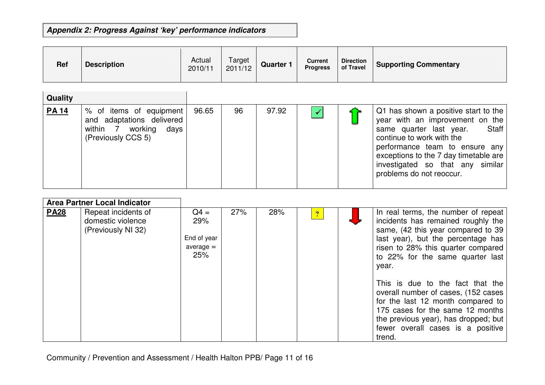# **Appendix 2: Progress Against 'key' performance indicators**

| Ref          | <b>Description</b>                                                                                  | Actual<br>2010/11 | Target<br>2011/12 | <b>Quarter 1</b> | <b>Current</b><br><b>Progress</b> | <b>Direction</b><br>of Travel | <b>Supporting Commentary</b>                                                                                                                                                                                                                                                        |
|--------------|-----------------------------------------------------------------------------------------------------|-------------------|-------------------|------------------|-----------------------------------|-------------------------------|-------------------------------------------------------------------------------------------------------------------------------------------------------------------------------------------------------------------------------------------------------------------------------------|
| Quality      |                                                                                                     |                   |                   |                  |                                   |                               |                                                                                                                                                                                                                                                                                     |
| <b>PA 14</b> | % of items of equipment<br>and adaptations delivered<br>within 7 working days<br>(Previously CCS 5) | 96.65             | 96                | 97.92            | $\checkmark$                      |                               | Q1 has shown a positive start to the<br>year with an improvement on the<br>same quarter last year.<br>Staff<br>continue to work with the<br>performance team to ensure any<br>exceptions to the 7 day timetable are<br>investigated so that any similar<br>problems do not reoccur. |

| Area Partner Local Indicator |                                                                |                                                    |     |     |              |                                                                                                                                                                                                                                          |
|------------------------------|----------------------------------------------------------------|----------------------------------------------------|-----|-----|--------------|------------------------------------------------------------------------------------------------------------------------------------------------------------------------------------------------------------------------------------------|
| <b>PA28</b>                  | Repeat incidents of<br>domestic violence<br>(Previously NI 32) | $Q4 =$<br>29%<br>End of year<br>$average =$<br>25% | 27% | 28% | $\mathbf{P}$ | In real terms, the number of repeat<br>incidents has remained roughly the<br>same, (42 this year compared to 39<br>last year), but the percentage has<br>risen to 28% this quarter compared<br>to 22% for the same quarter last<br>year. |
|                              |                                                                |                                                    |     |     |              | This is due to the fact that the<br>overall number of cases, (152 cases<br>for the last 12 month compared to<br>175 cases for the same 12 months<br>the previous year), has dropped; but<br>fewer overall cases is a positive<br>trend.  |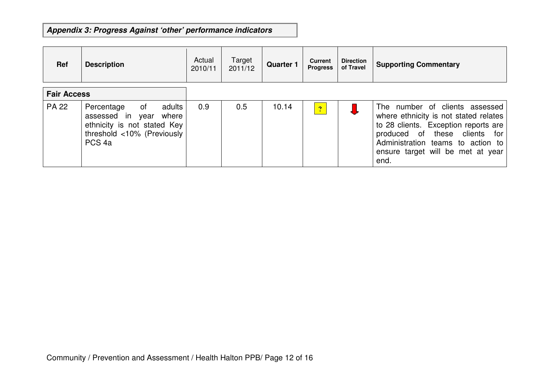# **Appendix 3: Progress Against 'other' performance indicators**

| Ref                | <b>Description</b>                                                                                                                        | Actual<br>2010/11 | Target<br>2011/12 | <b>Quarter 1</b> | <b>Current</b><br><b>Progress</b> | <b>Direction</b><br>of Travel | <b>Supporting Commentary</b>                                                                                                                                                                                                       |
|--------------------|-------------------------------------------------------------------------------------------------------------------------------------------|-------------------|-------------------|------------------|-----------------------------------|-------------------------------|------------------------------------------------------------------------------------------------------------------------------------------------------------------------------------------------------------------------------------|
| <b>Fair Access</b> |                                                                                                                                           |                   |                   |                  |                                   |                               |                                                                                                                                                                                                                                    |
| <b>PA 22</b>       | adults<br>0f<br>Percentage<br>assessed in year<br>where<br>ethnicity is not stated Key<br>threshold <10% (Previously<br>PCS <sub>4a</sub> | 0.9               | 0.5               | 10.14            | $\overline{?}$                    |                               | The number of clients assessed<br>where ethnicity is not stated relates<br>to 28 clients. Exception reports are<br>produced of these clients for<br>Administration teams to action to<br>ensure target will be met at year<br>end. |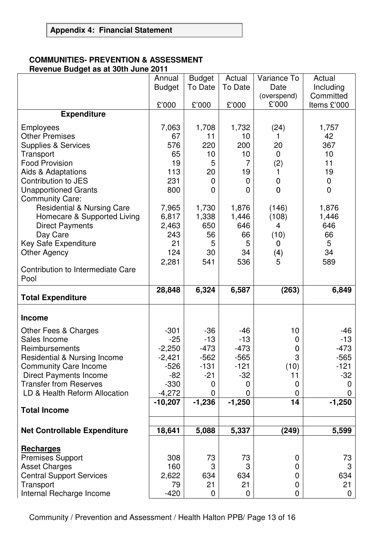## **COMMUNITIES- PREVENTION & ASSESSMENT Revenue Budget as at 30th June 2011**

|                                                                                                                                                                                                                                                                                                                                                                                      | Annual<br><b>Budget</b>                                                                            | <b>Budget</b><br>To Date                                                                          | Actual<br>To Date                                                                       | Variance To<br>Date                                                                                          | Actual<br>Including                                                                                               |
|--------------------------------------------------------------------------------------------------------------------------------------------------------------------------------------------------------------------------------------------------------------------------------------------------------------------------------------------------------------------------------------|----------------------------------------------------------------------------------------------------|---------------------------------------------------------------------------------------------------|-----------------------------------------------------------------------------------------|--------------------------------------------------------------------------------------------------------------|-------------------------------------------------------------------------------------------------------------------|
|                                                                                                                                                                                                                                                                                                                                                                                      | £'000                                                                                              | £'000                                                                                             | £'000                                                                                   | (overspend)<br>£'000                                                                                         | Committed<br>Items £'000                                                                                          |
| <b>Expenditure</b>                                                                                                                                                                                                                                                                                                                                                                   |                                                                                                    |                                                                                                   |                                                                                         |                                                                                                              |                                                                                                                   |
| <b>Employees</b><br><b>Other Premises</b><br><b>Supplies &amp; Services</b><br>Transport<br><b>Food Provision</b><br>Aids & Adaptations<br>Contribution to JES<br><b>Unapportioned Grants</b><br><b>Community Care:</b><br><b>Residential &amp; Nursing Care</b><br>Homecare & Supported Living<br><b>Direct Payments</b><br>Day Care<br>Key Safe Expenditure<br><b>Other Agency</b> | 7,063<br>67<br>576<br>65<br>19<br>113<br>231<br>800<br>7,965<br>6,817<br>2,463<br>243<br>21<br>124 | 1,708<br>11<br>220<br>10<br>5<br>20<br>$\mathbf 0$<br>0<br>1,730<br>1,338<br>650<br>56<br>5<br>30 | 1,732<br>10<br>200<br>10<br>7<br>19<br>0<br>0<br>1,876<br>1,446<br>646<br>66<br>5<br>34 | (24)<br>20<br>$\mathbf 0$<br>(2)<br>$\mathbf 0$<br>$\overline{0}$<br>(146)<br>(108)<br>4<br>(10)<br>0<br>(4) | 1,757<br>42<br>367<br>10<br>11<br>19<br>$\boldsymbol{0}$<br>$\mathbf 0$<br>1,876<br>1,446<br>646<br>66<br>5<br>34 |
| Contribution to Intermediate Care<br>Pool                                                                                                                                                                                                                                                                                                                                            | 2,281                                                                                              | 541                                                                                               | 536                                                                                     | 5                                                                                                            | 589                                                                                                               |
| <b>Total Expenditure</b>                                                                                                                                                                                                                                                                                                                                                             | 28,848                                                                                             | 6,324                                                                                             | 6,587                                                                                   | (263)                                                                                                        | 6,849                                                                                                             |
|                                                                                                                                                                                                                                                                                                                                                                                      |                                                                                                    |                                                                                                   |                                                                                         |                                                                                                              |                                                                                                                   |
| <b>Income</b>                                                                                                                                                                                                                                                                                                                                                                        |                                                                                                    |                                                                                                   |                                                                                         |                                                                                                              |                                                                                                                   |
| Other Fees & Charges<br>Sales Income<br>Reimbursements<br><b>Residential &amp; Nursing Income</b><br><b>Community Care Income</b><br><b>Direct Payments Income</b><br><b>Transfer from Reserves</b><br>LD & Health Reform Allocation                                                                                                                                                 | $-301$<br>$-25$<br>$-2,250$<br>$-2,421$<br>$-526$<br>$-82$<br>$-330$<br>$-4,272$                   | $-36$<br>$-13$<br>$-473$<br>$-562$<br>$-131$<br>$-21$<br>0<br>0                                   | $-46$<br>$-13$<br>$-473$<br>$-565$<br>$-121$<br>$-32$<br>0<br>0                         | 10<br>0<br>0<br>3<br>(10)<br>11<br>0<br>0                                                                    | -46<br>$-13$<br>$-473$<br>$-565$<br>$-121$<br>-32<br>0<br>$\mathbf 0$                                             |
| <b>Total Income</b>                                                                                                                                                                                                                                                                                                                                                                  | $-10,207$                                                                                          | $-1,236$                                                                                          | $-1,250$                                                                                | 14                                                                                                           | $-1,250$                                                                                                          |
| <b>Net Controllable Expenditure</b>                                                                                                                                                                                                                                                                                                                                                  | 18,641                                                                                             | 5,088                                                                                             | 5,337                                                                                   | (249)                                                                                                        | 5,599                                                                                                             |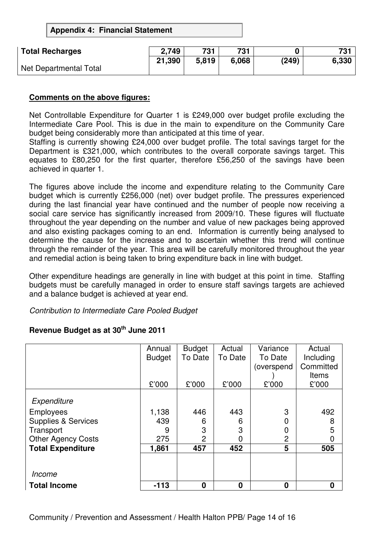**Appendix 4: Financial Statement** 

| <b>Total Recharges</b> | 2,749  | 731   | 731   |       | 731   |
|------------------------|--------|-------|-------|-------|-------|
|                        | 21,390 | 5,819 | 6,068 | (249) | 6,330 |
| Net Departmental Total |        |       |       |       |       |

### **Comments on the above figures:**

Net Controllable Expenditure for Quarter 1 is £249,000 over budget profile excluding the Intermediate Care Pool. This is due in the main to expenditure on the Community Care budget being considerably more than anticipated at this time of year.

Staffing is currently showing £24,000 over budget profile. The total savings target for the Department is £321,000, which contributes to the overall corporate savings target. This equates to £80,250 for the first quarter, therefore £56,250 of the savings have been achieved in quarter 1.

The figures above include the income and expenditure relating to the Community Care budget which is currently £256,000 (net) over budget profile. The pressures experienced during the last financial year have continued and the number of people now receiving a social care service has significantly increased from 2009/10. These figures will fluctuate throughout the year depending on the number and value of new packages being approved and also existing packages coming to an end. Information is currently being analysed to determine the cause for the increase and to ascertain whether this trend will continue through the remainder of the year. This area will be carefully monitored throughout the year and remedial action is being taken to bring expenditure back in line with budget.

Other expenditure headings are generally in line with budget at this point in time. Staffing budgets must be carefully managed in order to ensure staff savings targets are achieved and a balance budget is achieved at year end.

Contribution to Intermediate Care Pooled Budget

|                                | Annual        | <b>Budget</b> | Actual   | Variance   | Actual       |
|--------------------------------|---------------|---------------|----------|------------|--------------|
|                                | <b>Budget</b> | To Date       | To Date  | To Date    | Including    |
|                                |               |               |          | (overspend | Committed    |
|                                |               |               |          |            | <b>Items</b> |
|                                | £'000         | £'000         | £'000    | £'000      | £'000        |
|                                |               |               |          |            |              |
| Expenditure                    |               |               |          |            |              |
| <b>Employees</b>               | 1,138         | 446           | 443      | 3          | 492          |
| <b>Supplies &amp; Services</b> | 439           | 6             | 6        | 0          | 8            |
| Transport                      | 9             | 3             | 3        |            | 5            |
| <b>Other Agency Costs</b>      | 275           | 2             | 0        | 2          | 0            |
| <b>Total Expenditure</b>       | 1,861         | 457           | 452      | 5          | 505          |
|                                |               |               |          |            |              |
|                                |               |               |          |            |              |
| Income                         |               |               |          |            |              |
| <b>Total Income</b>            | $-113$        | $\bf{0}$      | $\bf{0}$ | 0          | 0            |

# **Revenue Budget as at 30th June 2011**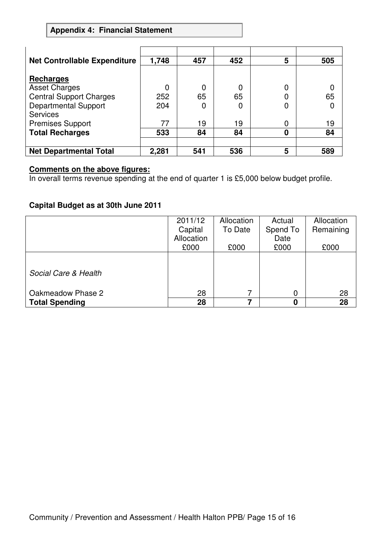# **Appendix 4: Financial Statement**

| <b>Net Controllable Expenditure</b> | 1,748 | 457 | 452 | 5 | 505 |
|-------------------------------------|-------|-----|-----|---|-----|
|                                     |       |     |     |   |     |
| <b>Recharges</b>                    |       |     |     |   |     |
| <b>Asset Charges</b>                |       | 0   | 0   | 0 |     |
| <b>Central Support Charges</b>      | 252   | 65  | 65  | 0 | 65  |
| <b>Departmental Support</b>         | 204   | 0   | 0   | 0 |     |
| <b>Services</b>                     |       |     |     |   |     |
| <b>Premises Support</b>             | 77    | 19  | 19  | 0 | 19  |
| <b>Total Recharges</b>              | 533   | 84  | 84  | 0 | 84  |
|                                     |       |     |     |   |     |
| <b>Net Departmental Total</b>       | 2,281 | 541 | 536 | 5 | 589 |

## **Comments on the above figures:**

In overall terms revenue spending at the end of quarter 1 is £5,000 below budget profile.

## **Capital Budget as at 30th June 2011**

|                       | 2011/12    | Allocation | Actual   | Allocation |
|-----------------------|------------|------------|----------|------------|
|                       | Capital    | To Date    | Spend To | Remaining  |
|                       | Allocation |            | Date     |            |
|                       | £000       | £000       | £000     | £000       |
|                       |            |            |          |            |
| Social Care & Health  |            |            |          |            |
| Oakmeadow Phase 2     | 28         |            | 0        | 28         |
| <b>Total Spending</b> | 28         | 7          | 0        | 28         |